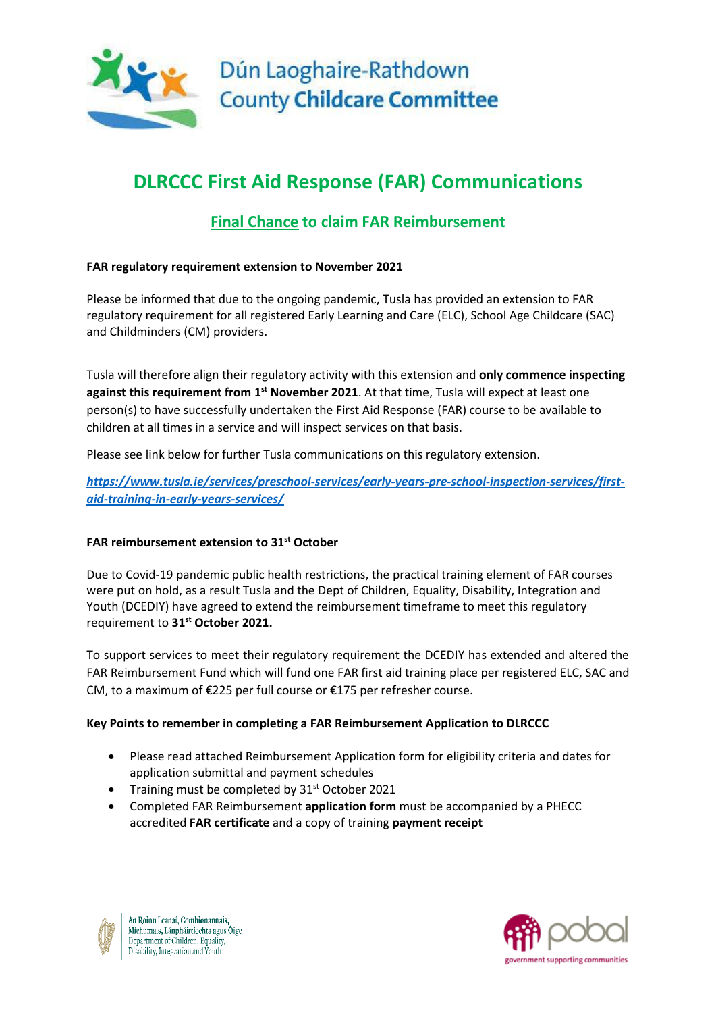

# **DLRCCC First Aid Response (FAR) Communications**

# **Final Chance to claim FAR Reimbursement**

## **FAR regulatory requirement extension to November 2021**

Please be informed that due to the ongoing pandemic, Tusla has provided an extension to FAR regulatory requirement for all registered Early Learning and Care (ELC), School Age Childcare (SAC) and Childminders (CM) providers.

Tusla will therefore align their regulatory activity with this extension and **only commence inspecting against this requirement from 1 st November 2021**. At that time, Tusla will expect at least one person(s) to have successfully undertaken the First Aid Response (FAR) course to be available to children at all times in a service and will inspect services on that basis.

Please see link below for further Tusla communications on this regulatory extension.

*[https://www.tusla.ie/services/preschool-services/early-years-pre-school-inspection-services/first](https://www.tusla.ie/services/preschool-services/early-years-pre-school-inspection-services/first-aid-training-in-early-years-services/)[aid-training-in-early-years-services/](https://www.tusla.ie/services/preschool-services/early-years-pre-school-inspection-services/first-aid-training-in-early-years-services/)*

# **FAR reimbursement extension to 31st October**

Due to Covid-19 pandemic public health restrictions, the practical training element of FAR courses were put on hold, as a result Tusla and the Dept of Children, Equality, Disability, Integration and Youth (DCEDIY) have agreed to extend the reimbursement timeframe to meet this regulatory requirement to **31st October 2021.**

To support services to meet their regulatory requirement the DCEDIY has extended and altered the FAR Reimbursement Fund which will fund one FAR first aid training place per registered ELC, SAC and CM, to a maximum of €225 per full course or €175 per refresher course.

### **Key Points to remember in completing a FAR Reimbursement Application to DLRCCC**

- Please read attached Reimbursement Application form for eligibility criteria and dates for application submittal and payment schedules
- Training must be completed by  $31<sup>st</sup>$  October 2021
- Completed FAR Reimbursement **application form** must be accompanied by a PHECC accredited **FAR certificate** and a copy of training **payment receipt**